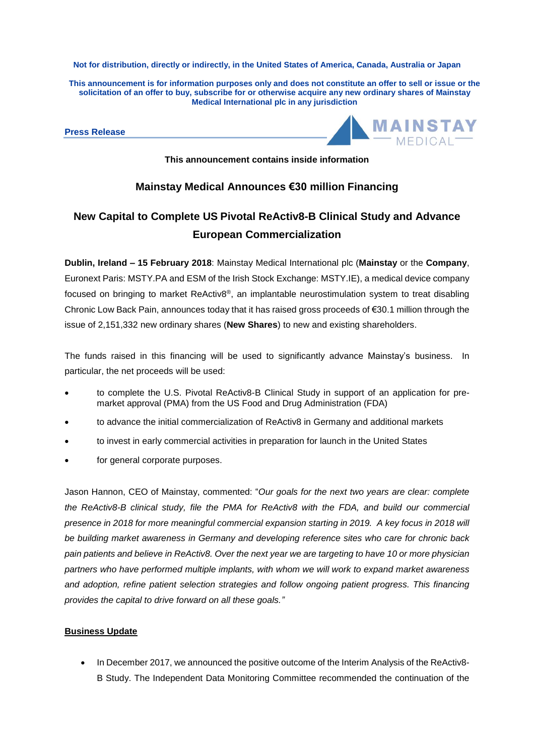**Not for distribution, directly or indirectly, in the United States of America, Canada, Australia or Japan**

This announcement is for information purposes only and does not constitute an offer to sell or issue or the **solicitation of an offer to buy, subscribe for or otherwise acquire any new ordinary shares of Mainstay Medical International plc in any jurisdiction**

**Press Release**



**This announcement contains inside information**

## **Mainstay Medical Announces €30 million Financing**

# **New Capital to Complete US Pivotal ReActiv8-B Clinical Study and Advance European Commercialization**

**Dublin, Ireland – 15 February 2018**: Mainstay Medical International plc (**Mainstay** or the **Company**, Euronext Paris: MSTY.PA and ESM of the Irish Stock Exchange: MSTY.IE), a medical device company focused on bringing to market ReActiv8®, an implantable neurostimulation system to treat disabling Chronic Low Back Pain, announces today that it has raised gross proceeds of €30.1 million through the issue of 2,151,332 new ordinary shares (**New Shares**) to new and existing shareholders.

The funds raised in this financing will be used to significantly advance Mainstay's business. In particular, the net proceeds will be used:

- to complete the U.S. Pivotal ReActiv8-B Clinical Study in support of an application for premarket approval (PMA) from the US Food and Drug Administration (FDA)
- to advance the initial commercialization of ReActiv8 in Germany and additional markets
- to invest in early commercial activities in preparation for launch in the United States
- for general corporate purposes.

Jason Hannon, CEO of Mainstay, commented: "*Our goals for the next two years are clear: complete the ReActiv8-B clinical study, file the PMA for ReActiv8 with the FDA, and build our commercial presence in 2018 for more meaningful commercial expansion starting in 2019. A key focus in 2018 will be building market awareness in Germany and developing reference sites who care for chronic back* pain patients and believe in ReActiv8. Over the next year we are targeting to have 10 or more physician *partners who have performed multiple implants, with whom we will work to expand market awareness and adoption, refine patient selection strategies and follow ongoing patient progress. This financing provides the capital to drive forward on all these goals."*

## **Business Update**

In December 2017, we announced the positive outcome of the Interim Analysis of the ReActiv8-B Study. The Independent Data Monitoring Committee recommended the continuation of the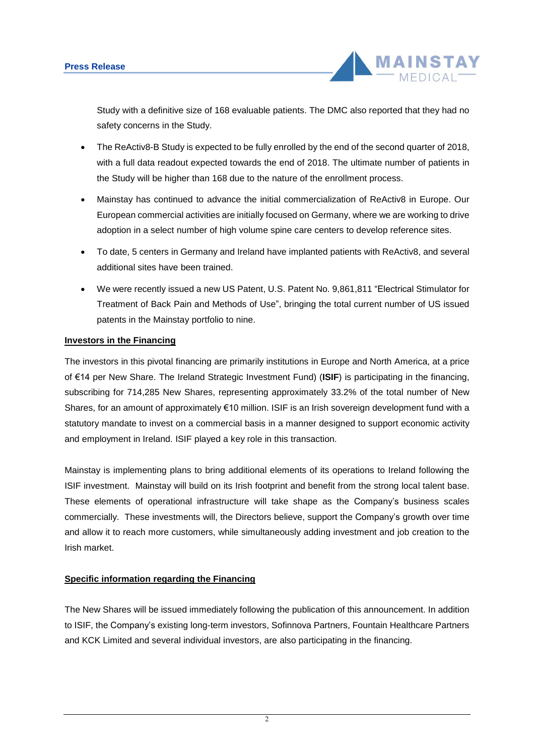

Study with a definitive size of 168 evaluable patients. The DMC also reported that they had no safety concerns in the Study.

- The ReActiv8-B Study is expected to be fully enrolled by the end of the second quarter of 2018, with a full data readout expected towards the end of 2018. The ultimate number of patients in the Study will be higher than 168 due to the nature of the enrollment process.
- Mainstay has continued to advance the initial commercialization of ReActiv8 in Europe. Our European commercial activities are initially focused on Germany, where we are working to drive adoption in a select number of high volume spine care centers to develop reference sites.
- To date, 5 centers in Germany and Ireland have implanted patients with ReActiv8, and several additional sites have been trained.
- We were recently issued a new US Patent, U.S. Patent No. 9,861,811 "Electrical Stimulator for Treatment of Back Pain and Methods of Use", bringing the total current number of US issued patents in the Mainstay portfolio to nine.

## **Investors in the Financing**

The investors in this pivotal financing are primarily institutions in Europe and North America, at a price of €14 per New Share. The Ireland Strategic Investment Fund) (**ISIF**) is participating in the financing, subscribing for 714,285 New Shares, representing approximately 33.2% of the total number of New Shares, for an amount of approximately €10 million. ISIF is an Irish sovereign development fund with a statutory mandate to invest on a commercial basis in a manner designed to support economic activity and employment in Ireland. ISIF played a key role in this transaction.

Mainstay is implementing plans to bring additional elements of its operations to Ireland following the ISIF investment. Mainstay will build on its Irish footprint and benefit from the strong local talent base. These elements of operational infrastructure will take shape as the Company's business scales commercially. These investments will, the Directors believe, support the Company's growth over time and allow it to reach more customers, while simultaneously adding investment and job creation to the Irish market.

## **Specific information regarding the Financing**

The New Shares will be issued immediately following the publication of this announcement. In addition to ISIF, the Company's existing long-term investors, Sofinnova Partners, Fountain Healthcare Partners and KCK Limited and several individual investors, are also participating in the financing.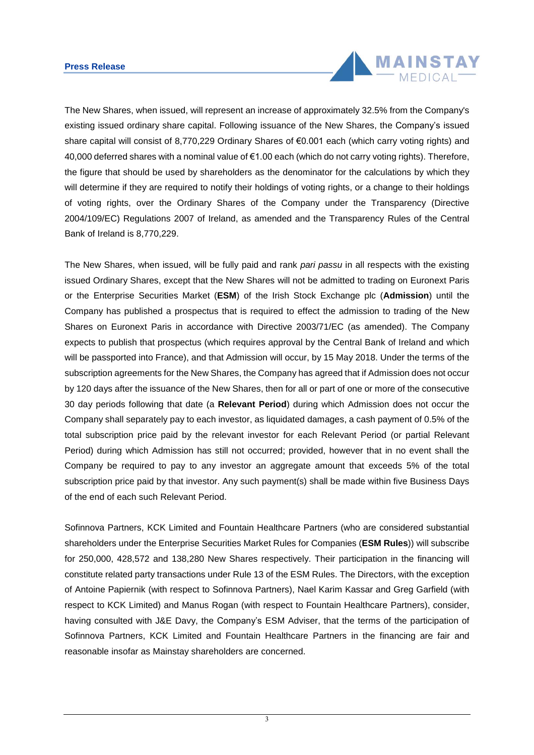### **Press Release**



The New Shares, when issued, will represent an increase of approximately 32.5% from the Company's existing issued ordinary share capital. Following issuance of the New Shares, the Company's issued share capital will consist of 8,770,229 Ordinary Shares of €0.001 each (which carry voting rights) and 40,000 deferred shares with a nominal value of €1.00 each (which do not carry voting rights). Therefore, the figure that should be used by shareholders as the denominator for the calculations by which they will determine if they are required to notify their holdings of voting rights, or a change to their holdings of voting rights, over the Ordinary Shares of the Company under the Transparency (Directive 2004/109/EC) Regulations 2007 of Ireland, as amended and the Transparency Rules of the Central Bank of Ireland is 8,770,229.

The New Shares, when issued, will be fully paid and rank *pari passu* in all respects with the existing issued Ordinary Shares, except that the New Shares will not be admitted to trading on Euronext Paris or the Enterprise Securities Market (**ESM**) of the Irish Stock Exchange plc (**Admission**) until the Company has published a prospectus that is required to effect the admission to trading of the New Shares on Euronext Paris in accordance with Directive 2003/71/EC (as amended). The Company expects to publish that prospectus (which requires approval by the Central Bank of Ireland and which will be passported into France), and that Admission will occur, by 15 May 2018. Under the terms of the subscription agreements for the New Shares, the Company has agreed that if Admission does not occur by 120 days after the issuance of the New Shares, then for all or part of one or more of the consecutive 30 day periods following that date (a **Relevant Period**) during which Admission does not occur the Company shall separately pay to each investor, as liquidated damages, a cash payment of 0.5% of the total subscription price paid by the relevant investor for each Relevant Period (or partial Relevant Period) during which Admission has still not occurred; provided, however that in no event shall the Company be required to pay to any investor an aggregate amount that exceeds 5% of the total subscription price paid by that investor. Any such payment(s) shall be made within five Business Days of the end of each such Relevant Period.

Sofinnova Partners, KCK Limited and Fountain Healthcare Partners (who are considered substantial shareholders under the Enterprise Securities Market Rules for Companies (**ESM Rules**)) will subscribe for 250,000, 428,572 and 138,280 New Shares respectively. Their participation in the financing will constitute related party transactions under Rule 13 of the ESM Rules. The Directors, with the exception of Antoine Papiernik (with respect to Sofinnova Partners), Nael Karim Kassar and Greg Garfield (with respect to KCK Limited) and Manus Rogan (with respect to Fountain Healthcare Partners), consider, having consulted with J&E Davy, the Company's ESM Adviser, that the terms of the participation of Sofinnova Partners, KCK Limited and Fountain Healthcare Partners in the financing are fair and reasonable insofar as Mainstay shareholders are concerned.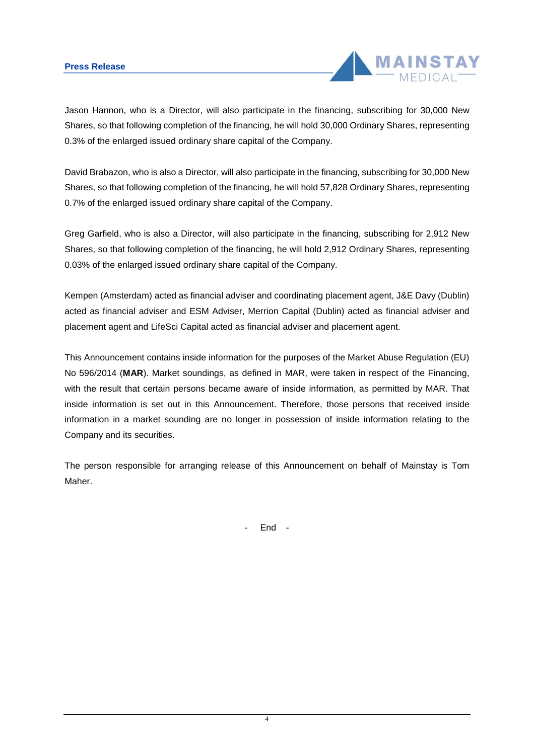## **Press Release**



Jason Hannon, who is a Director, will also participate in the financing, subscribing for 30,000 New Shares, so that following completion of the financing, he will hold 30,000 Ordinary Shares, representing 0.3% of the enlarged issued ordinary share capital of the Company.

David Brabazon, who is also a Director, will also participate in the financing, subscribing for 30,000 New Shares, so that following completion of the financing, he will hold 57,828 Ordinary Shares, representing 0.7% of the enlarged issued ordinary share capital of the Company.

Greg Garfield, who is also a Director, will also participate in the financing, subscribing for 2,912 New Shares, so that following completion of the financing, he will hold 2,912 Ordinary Shares, representing 0.03% of the enlarged issued ordinary share capital of the Company.

Kempen (Amsterdam) acted as financial adviser and coordinating placement agent, J&E Davy (Dublin) acted as financial adviser and ESM Adviser, Merrion Capital (Dublin) acted as financial adviser and placement agent and LifeSci Capital acted as financial adviser and placement agent.

This Announcement contains inside information for the purposes of the Market Abuse Regulation (EU) No 596/2014 (**MAR**). Market soundings, as defined in MAR, were taken in respect of the Financing, with the result that certain persons became aware of inside information, as permitted by MAR. That inside information is set out in this Announcement. Therefore, those persons that received inside information in a market sounding are no longer in possession of inside information relating to the Company and its securities.

The person responsible for arranging release of this Announcement on behalf of Mainstay is Tom Maher.

- End -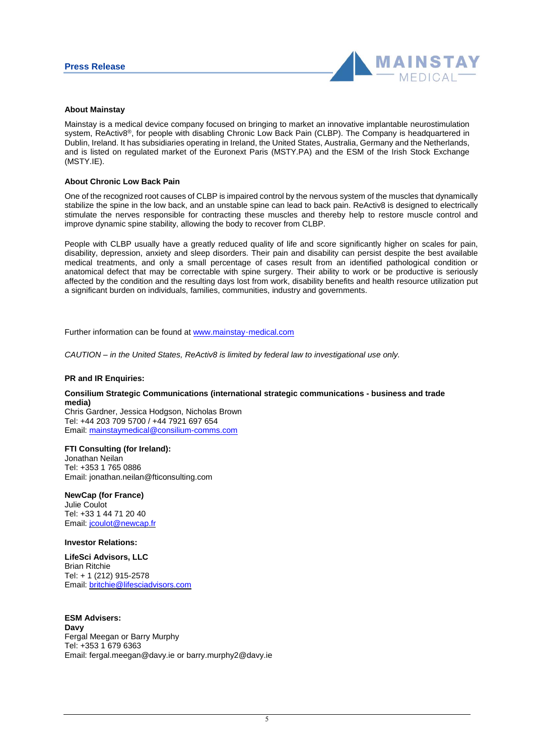

#### **About Mainstay**

Mainstay is a medical device company focused on bringing to market an innovative implantable neurostimulation system, ReActiv8®, for people with disabling Chronic Low Back Pain (CLBP). The Company is headquartered in Dublin, Ireland. It has subsidiaries operating in Ireland, the United States, Australia, Germany and the Netherlands, and is listed on regulated market of the Euronext Paris (MSTY.PA) and the ESM of the Irish Stock Exchange (MSTY.IE).

#### **About Chronic Low Back Pain**

One of the recognized root causes of CLBP is impaired control by the nervous system of the muscles that dynamically stabilize the spine in the low back, and an unstable spine can lead to back pain. ReActiv8 is designed to electrically stimulate the nerves responsible for contracting these muscles and thereby help to restore muscle control and improve dynamic spine stability, allowing the body to recover from CLBP.

People with CLBP usually have a greatly reduced quality of life and score significantly higher on scales for pain, disability, depression, anxiety and sleep disorders. Their pain and disability can persist despite the best available medical treatments, and only a small percentage of cases result from an identified pathological condition or anatomical defect that may be correctable with spine surgery. Their ability to work or be productive is seriously affected by the condition and the resulting days lost from work, disability benefits and health resource utilization put a significant burden on individuals, families, communities, industry and governments.

Further information can be found at www.mainstay-medical.com

*CAUTION – in the United States, ReActiv8 is limited by federal law to investigational use only.*

#### **PR and IR Enquiries:**

#### **Consilium Strategic Communications (international strategic communications - business and trade media)**

Chris Gardner, Jessica Hodgson, Nicholas Brown Tel: +44 203 709 5700 / +44 7921 697 654 Email: [mainstaymedical@consilium-comms.com](mailto:mainstaymedical@consilium-comms.com)

#### **FTI Consulting (for Ireland):**

Jonathan Neilan Tel: +353 1 765 0886 Email: jonathan.neilan@fticonsulting.com

#### **NewCap (for France)**

Julie Coulot Tel: +33 1 44 71 20 40 Email: jcoulot@newcap.fr

#### **Investor Relations:**

**LifeSci Advisors, LLC** Brian Ritchie Tel: + 1 (212) 915-2578 Email: [britchie@lifesciadvisors.com](mailto:britchie@lifesciadvisors.com)

**ESM Advisers: Davy** Fergal Meegan or Barry Murphy Tel: +353 1 679 6363 Email: fergal.meegan@davy.ie or barry.murphy2@davy.ie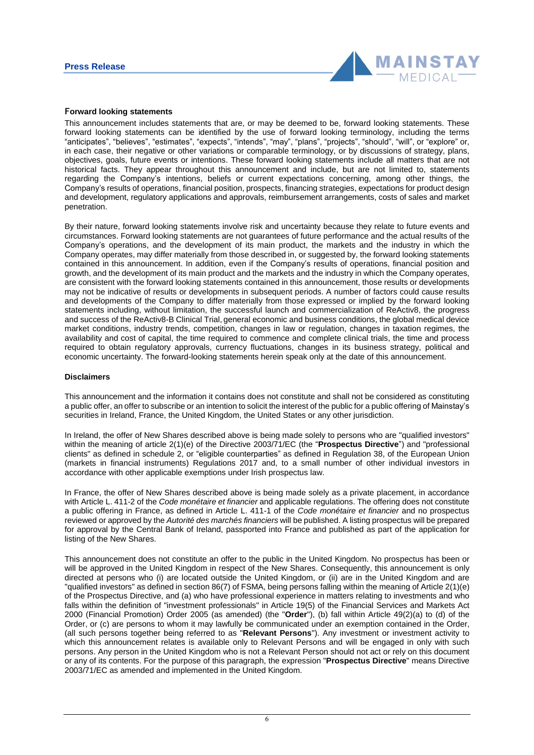

#### **Forward looking statements**

This announcement includes statements that are, or may be deemed to be, forward looking statements. These forward looking statements can be identified by the use of forward looking terminology, including the terms "anticipates", "believes", "estimates", "expects", "intends", "may", "plans", "projects", "should", "will", or "explore" or, in each case, their negative or other variations or comparable terminology, or by discussions of strategy, plans, objectives, goals, future events or intentions. These forward looking statements include all matters that are not historical facts. They appear throughout this announcement and include, but are not limited to, statements regarding the Company's intentions, beliefs or current expectations concerning, among other things, the Company's results of operations, financial position, prospects, financing strategies, expectations for product design and development, regulatory applications and approvals, reimbursement arrangements, costs of sales and market penetration.

By their nature, forward looking statements involve risk and uncertainty because they relate to future events and circumstances. Forward looking statements are not guarantees of future performance and the actual results of the Company's operations, and the development of its main product, the markets and the industry in which the Company operates, may differ materially from those described in, or suggested by, the forward looking statements contained in this announcement. In addition, even if the Company's results of operations, financial position and growth, and the development of its main product and the markets and the industry in which the Company operates, are consistent with the forward looking statements contained in this announcement, those results or developments may not be indicative of results or developments in subsequent periods. A number of factors could cause results and developments of the Company to differ materially from those expressed or implied by the forward looking statements including, without limitation, the successful launch and commercialization of ReActiv8, the progress and success of the ReActiv8-B Clinical Trial, general economic and business conditions, the global medical device market conditions, industry trends, competition, changes in law or regulation, changes in taxation regimes, the availability and cost of capital, the time required to commence and complete clinical trials, the time and process required to obtain regulatory approvals, currency fluctuations, changes in its business strategy, political and economic uncertainty. The forward-looking statements herein speak only at the date of this announcement.

#### **Disclaimers**

This announcement and the information it contains does not constitute and shall not be considered as constituting a public offer, an offer to subscribe or an intention to solicit the interest of the public for a public offering of Mainstay's securities in Ireland, France, the United Kingdom, the United States or any other jurisdiction.

In Ireland, the offer of New Shares described above is being made solely to persons who are "qualified investors" within the meaning of article 2(1)(e) of the Directive 2003/71/EC (the "**Prospectus Directive**") and "professional clients" as defined in schedule 2, or "eligible counterparties" as defined in Regulation 38, of the European Union (markets in financial instruments) Regulations 2017 and, to a small number of other individual investors in accordance with other applicable exemptions under Irish prospectus law.

In France, the offer of New Shares described above is being made solely as a private placement, in accordance with Article L. 411-2 of the *Code monétaire et financier* and applicable regulations. The offering does not constitute a public offering in France, as defined in Article L. 411-1 of the *Code monétaire et financier* and no prospectus reviewed or approved by the *Autorité des marchés financiers* will be published. A listing prospectus will be prepared for approval by the Central Bank of Ireland, passported into France and published as part of the application for listing of the New Shares.

This announcement does not constitute an offer to the public in the United Kingdom. No prospectus has been or will be approved in the United Kingdom in respect of the New Shares. Consequently, this announcement is only directed at persons who (i) are located outside the United Kingdom, or (ii) are in the United Kingdom and are "qualified investors" as defined in section 86(7) of FSMA, being persons falling within the meaning of Article 2(1)(e) of the Prospectus Directive, and (a) who have professional experience in matters relating to investments and who falls within the definition of "investment professionals" in Article 19(5) of the Financial Services and Markets Act 2000 (Financial Promotion) Order 2005 (as amended) (the "**Order**"), (b) fall within Article 49(2)(a) to (d) of the Order, or (c) are persons to whom it may lawfully be communicated under an exemption contained in the Order, (all such persons together being referred to as "**Relevant Persons**"). Any investment or investment activity to which this announcement relates is available only to Relevant Persons and will be engaged in only with such persons. Any person in the United Kingdom who is not a Relevant Person should not act or rely on this document or any of its contents. For the purpose of this paragraph, the expression "**Prospectus Directive**" means Directive 2003/71/EC as amended and implemented in the United Kingdom.